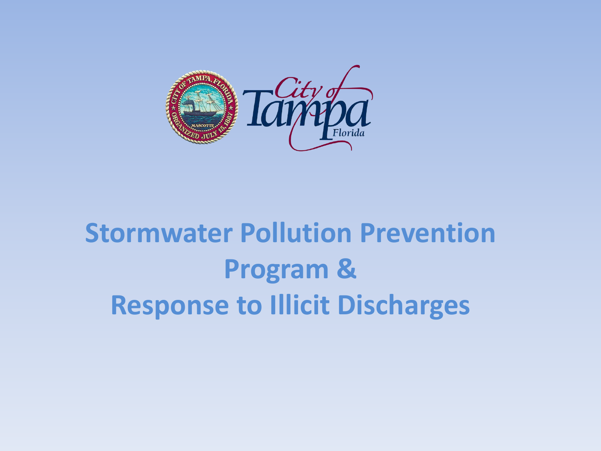

## **Stormwater Pollution Prevention Program & Response to Illicit Discharges**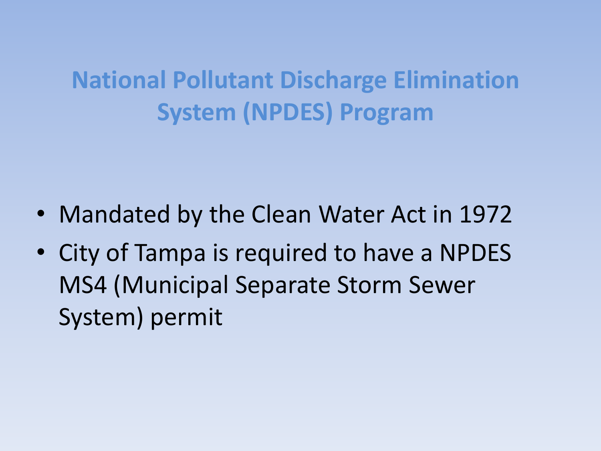### **National Pollutant Discharge Elimination System (NPDES) Program**

- Mandated by the Clean Water Act in 1972
- City of Tampa is required to have a NPDES MS4 (Municipal Separate Storm Sewer System) permit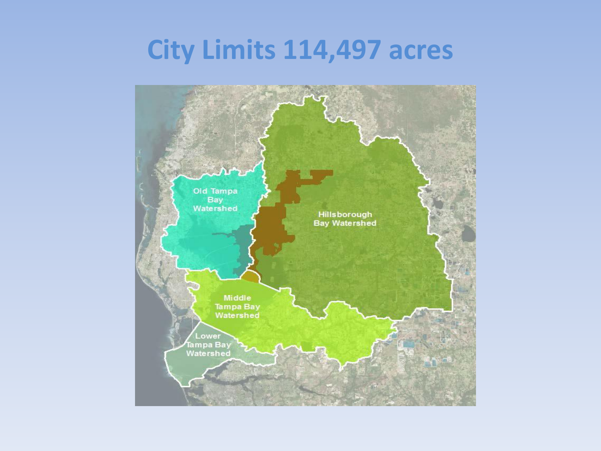#### **City Limits 114,497 acres**

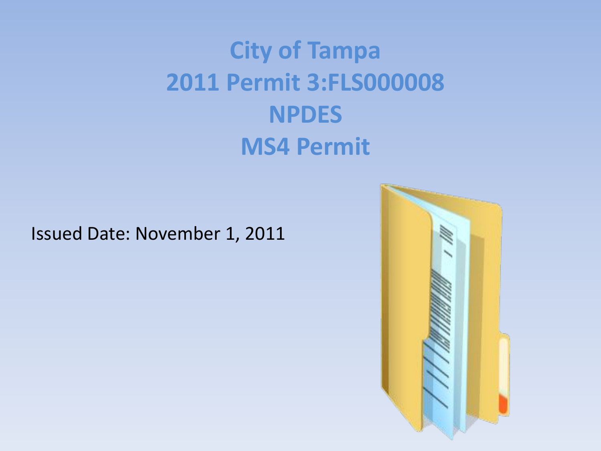## **City of Tampa 2011 Permit 3:FLS000008 NPDES MS4 Permit**

#### Issued Date: November 1, 2011

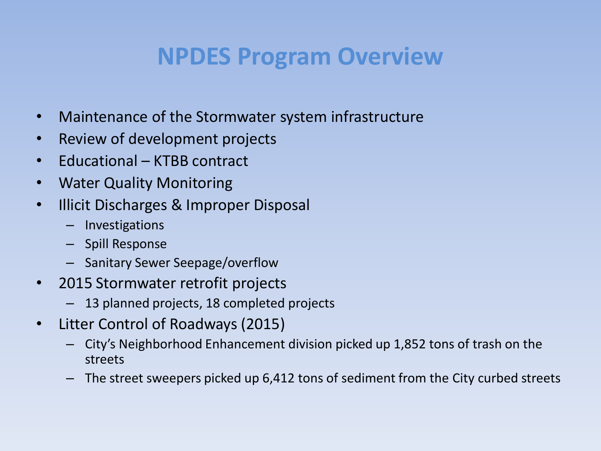#### **NPDES Program Overview**

- Maintenance of the Stormwater system infrastructure
- Review of development projects
- Educational KTBB contract
- Water Quality Monitoring
- Illicit Discharges & Improper Disposal
	- Investigations
	- Spill Response
	- Sanitary Sewer Seepage/overflow
- 2015 Stormwater retrofit projects
	- 13 planned projects, 18 completed projects
- Litter Control of Roadways (2015)
	- City's Neighborhood Enhancement division picked up 1,852 tons of trash on the streets
	- The street sweepers picked up 6,412 tons of sediment from the City curbed streets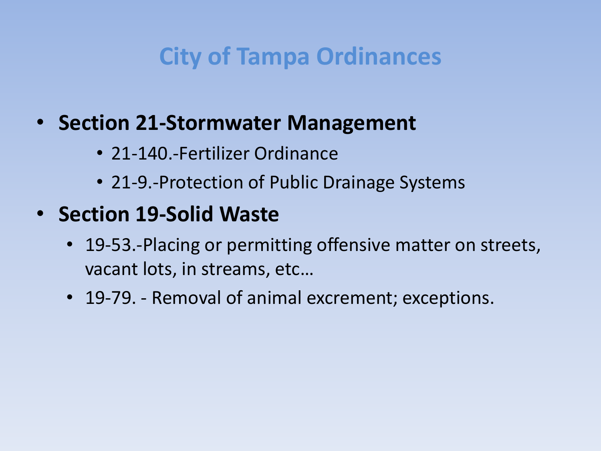#### **City of Tampa Ordinances**

#### • **Section 21-Stormwater Management**

- 21-140.-Fertilizer Ordinance
- 21-9.-Protection of Public Drainage Systems

#### • **Section 19-Solid Waste**

- 19-53.-Placing or permitting offensive matter on streets, vacant lots, in streams, etc…
- 19-79. Removal of animal excrement; exceptions.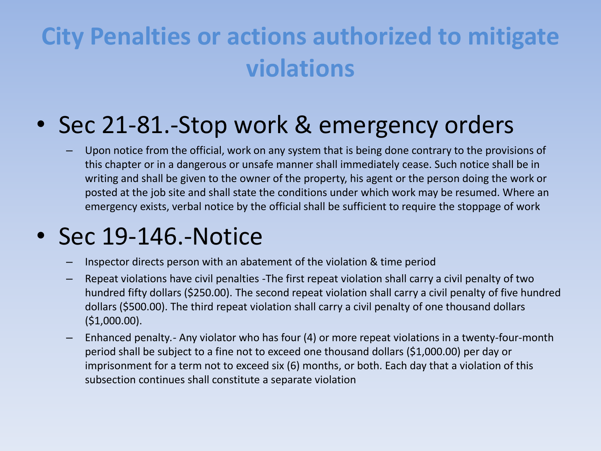## **City Penalties or actions authorized to mitigate violations**

#### • Sec 21-81.-Stop work & emergency orders

– Upon notice from the official, work on any system that is being done contrary to the provisions of this chapter or in a dangerous or unsafe manner shall immediately cease. Such notice shall be in writing and shall be given to the owner of the property, his agent or the person doing the work or posted at the job site and shall state the conditions under which work may be resumed. Where an emergency exists, verbal notice by the official shall be sufficient to require the stoppage of work

#### • Sec 19-146.-Notice

- Inspector directs person with an abatement of the violation & time period
- Repeat violations have civil penalties -The first repeat violation shall carry a civil penalty of two hundred fifty dollars (\$250.00). The second repeat violation shall carry a civil penalty of five hundred dollars (\$500.00). The third repeat violation shall carry a civil penalty of one thousand dollars (\$1,000.00).
- Enhanced penalty*.-* Any violator who has four (4) or more repeat violations in a twenty-four-month period shall be subject to a fine not to exceed one thousand dollars (\$1,000.00) per day or imprisonment for a term not to exceed six (6) months, or both. Each day that a violation of this subsection continues shall constitute a separate violation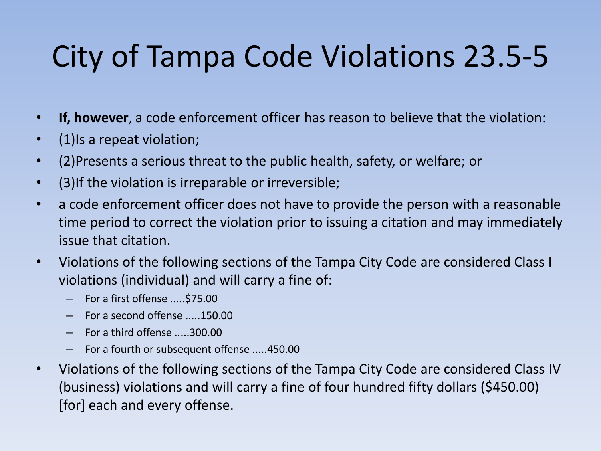# City of Tampa Code Violations 23.5-5

- **If, however**, a code enforcement officer has reason to believe that the violation:
- (1) Is a repeat violation;
- (2)Presents a serious threat to the public health, safety, or welfare; or
- (3)If the violation is irreparable or irreversible;
- a code enforcement officer does not have to provide the person with a reasonable time period to correct the violation prior to issuing a citation and may immediately issue that citation.
- Violations of the following sections of the Tampa City Code are considered Class I violations (individual) and will carry a fine of:
	- For a first offense .....\$75.00
	- For a second offense .....150.00
	- For a third offense .....300.00
	- For a fourth or subsequent offense .....450.00
- Violations of the following sections of the Tampa City Code are considered Class IV (business) violations and will carry a fine of four hundred fifty dollars (\$450.00) [for] each and every offense.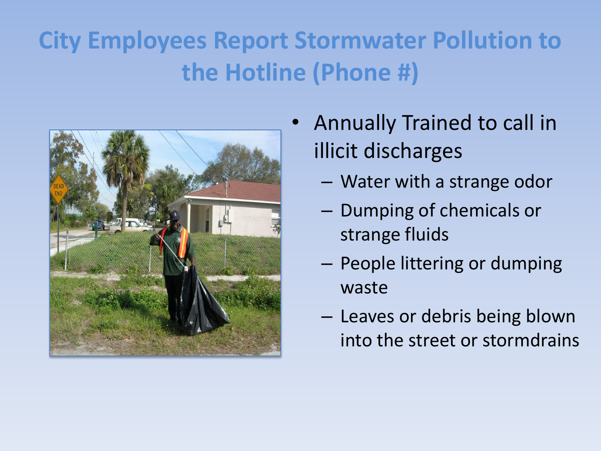## **City Employees Report Stormwater Pollution to the Hotline (Phone #)**



- Annually Trained to call in illicit discharges
	- Water with a strange odor
	- Dumping of chemicals or strange fluids
	- People littering or dumping waste
	- Leaves or debris being blown into the street or stormdrains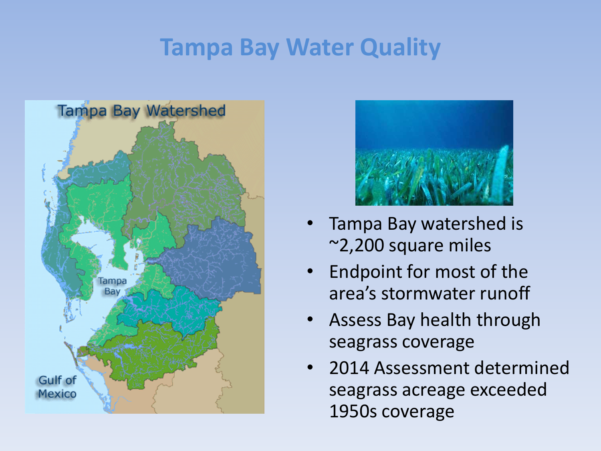#### **Tampa Bay Water Quality**





- Tampa Bay watershed is ~2,200 square miles
- Endpoint for most of the area's stormwater runoff
- Assess Bay health through seagrass coverage
- 2014 Assessment determined seagrass acreage exceeded 1950s coverage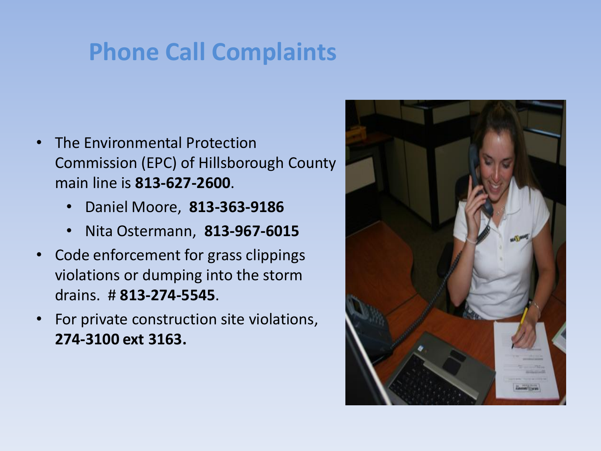### **Phone Call Complaints**

- The Environmental Protection Commission (EPC) of Hillsborough County main line is **813-627-2600**.
	- Daniel Moore, **813-363-9186**
	- Nita Ostermann, **813-967-6015**
- Code enforcement for grass clippings violations or dumping into the storm drains. # **813-274-5545**.
- For private construction site violations, **274-3100 ext 3163.**